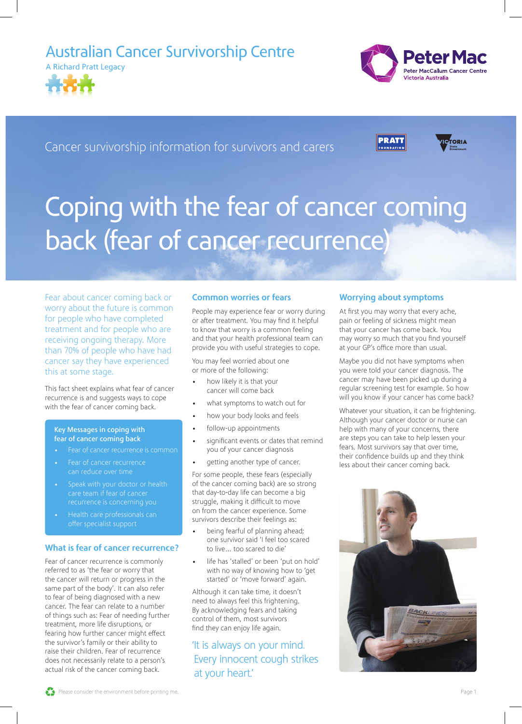### Australian Cancer Survivorship Centre





Cancer survivorship information for survivors and carers





# Coping with the fear of cancer coming back (fear of cancer recurrence)

Fear about cancer coming back or worry about the future is common for people who have completed treatment and for people who are receiving ongoing therapy. More than 70% of people who have had cancer say they have experienced this at some stage.

This fact sheet explains what fear of cancer recurrence is and suggests ways to cope with the fear of cancer coming back.

#### Key Messages in coping with fear of cancer coming back

- 
- Fear of cancer recurrence can reduce over time
- Speak with your doctor or health care team if fear of cancer
- offer specialist support

### What is fear of cancer recurrence?

Fear of cancer recurrence is commonly referred to as 'the fear or worry that the cancer will return or progress in the same part of the body'. It can also refer to fear of being diagnosed with a new cancer. The fear can relate to a number of things such as: Fear of needing further treatment, more life disruptions, or fearing how further cancer might effect the survivor's family or their ability to raise their children. Fear of recurrence does not necessarily relate to a person's actual risk of the cancer coming back.

### Common worries or fears

People may experience fear or worry during or after treatment. You may find it helpful to know that worry is a common feeling and that your health professional team can provide you with useful strategies to cope.

You may feel worried about one or more of the following:

- how likely it is that your cancer will come back
- what symptoms to watch out for
- how your body looks and feels
- follow-up appointments
- significant events or dates that remind you of your cancer diagnosis
- getting another type of cancer.

For some people, these fears (especially of the cancer coming back) are so strong that day-to-day life can become a big struggle, making it difficult to move on from the cancer experience. Some survivors describe their feelings as:

- being fearful of planning ahead; one survivor said 'I feel too scared to live… too scared to die'
- life has 'stalled' or been 'put on hold' with no way of knowing how to 'get started' or 'move forward' again.

Although it can take time, it doesn't need to always feel this frightening. By acknowledging fears and taking control of them, most survivors find they can enjoy life again.

### 'It is always on your mind. Every innocent cough strikes at your heart.'

### Worrying about symptoms

At first you may worry that every ache, pain or feeling of sickness might mean that your cancer has come back. You may worry so much that you find yourself at your GP's office more than usual.

Maybe you did not have symptoms when you were told your cancer diagnosis. The cancer may have been picked up during a regular screening test for example. So how will you know if your cancer has come back?

Whatever your situation, it can be frightening. Although your cancer doctor or nurse can help with many of your concerns, there are steps you can take to help lessen your fears. Most survivors say that over time, their confidence builds up and they think less about their cancer coming back.